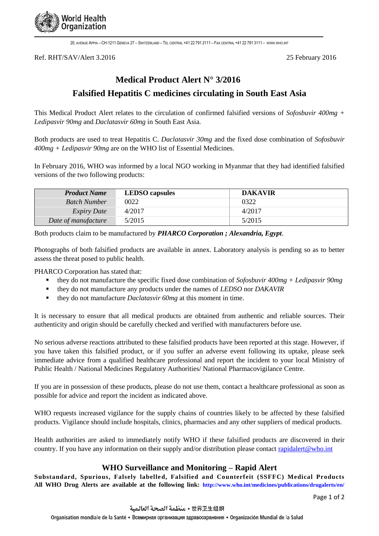

20, AVENUE APPIA – CH-1211 GENEVA 27 – SWITZERLAND – TEL CENTRAL +41 22 791 2111 – FAX CENTRAL +41 22 791 3111 – [WWW](http://www.who.int/).WHO.INT

Ref. RHT/SAV/Alert 3.2016 25 February 2016

# **Medical Product Alert N° 3/2016**

# **Falsified Hepatitis C medicines circulating in South East Asia**

This Medical Product Alert relates to the circulation of confirmed falsified versions of *Sofosbuvir 400mg + Ledipasvir 90mg* and *Daclatasvir 60mg* in South East Asia.

Both products are used to treat Hepatitis C. *Daclatasvir 30mg* and the fixed dose combination of *Sofosbuvir 400mg + Ledipasvir 90mg* are on the WHO list of Essential Medicines.

In February 2016, WHO was informed by a local NGO working in Myanmar that they had identified falsified versions of the two following products:

| <b>Product Name</b> | <b>LEDSO</b> capsules | <b>DAKAVIR</b> |
|---------------------|-----------------------|----------------|
| <b>Batch Number</b> | 0022                  | 0322           |
| <i>Expiry Date</i>  | 4/2017                | 4/2017         |
| Date of manufacture | 5/2015                | 5/2015         |

Both products claim to be manufactured by *PHARCO Corporation ; Alexandria, Egypt*.

Photographs of both falsified products are available in annex. Laboratory analysis is pending so as to better assess the threat posed to public health.

PHARCO Corporation has stated that:

- they do not manufacture the specific fixed dose combination of *Sofosbuvir 400mg + Ledipasvir 90mg*
- they do not manufacture any products under the names of *LEDSO* nor *DAKAVIR*
- they do not manufacture *Daclatasvir* 60*mg* at this moment in time.

It is necessary to ensure that all medical products are obtained from authentic and reliable sources. Their authenticity and origin should be carefully checked and verified with manufacturers before use.

No serious adverse reactions attributed to these falsified products have been reported at this stage. However, if you have taken this falsified product, or if you suffer an adverse event following its uptake, please seek immediate advice from a qualified healthcare professional and report the incident to your local Ministry of Public Health / National Medicines Regulatory Authorities/ National Pharmacovigilance Centre.

If you are in possession of these products, please do not use them, contact a healthcare professional as soon as possible for advice and report the incident as indicated above.

WHO requests increased vigilance for the supply chains of countries likely to be affected by these falsified products. Vigilance should include hospitals, clinics, pharmacies and any other suppliers of medical products.

Health authorities are asked to immediately notify WHO if these falsified products are discovered in their country. If you have any information on their supply and/or distribution please contact [rapidalert@who.int](file:///C:/Users/deatsm/AppData/Local/Microsoft/Windows/Temporary%20Internet%20Files/Content.Outlook/NGTCICHL/rapidalert@who.int)

#### **WHO Surveillance and Monitoring – Rapid Alert**

**Substandard, Spurious, Falsely labelled, Falsified and Counterfeit (SSFFC) Medical Products All WHO Drug Alerts are available at the following link: <http://www.who.int/medicines/publications/drugalerts/en/>**

Page 1 of 2